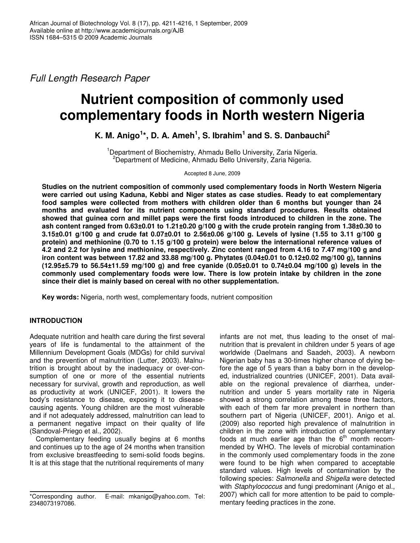*Full Length Research Paper*

# **Nutrient composition of commonly used complementary foods in North western Nigeria**

## **K. M. Anigo 1 \*, D. A. Ameh 1 , S. Ibrahim 1 and S. S. Danbauchi 2**

<sup>1</sup>Department of Biochemistry, Ahmadu Bello University, Zaria Nigeria. <sup>2</sup>Department of Medicine, Ahmadu Bello University, Zaria Nigeria.

Accepted 8 June, 2009

**Studies on the nutrient composition of commonly used complementary foods in North Western Nigeria were carried out using Kaduna, Kebbi and Niger states as case studies. Ready to eat complementary food samples were collected from mothers with children older than 6 months but younger than 24 months and evaluated for its nutrient components using standard procedures. Results obtained** showed that guinea corn and millet paps were the first foods introduced to children in the zone. The **ash content ranged from 0.63±0.01 to 1.21±0.20 g/100 g with the crude protein ranging from 1.38±0.30 to** 3.15±0.01 g/100 g and crude fat 0.07±0.01 to 2.56±0.06 g/100 g. Levels of lysine (1.55 to 3.11 g/100 g **protein) and methionine (0.70 to 1.15 g/100 g protein) were below the international reference values of** 4.2 and 2.2 for lysine and methionine, respectively. Zinc content ranged from 4.16 to 7.47 mg/100 g and **iron content was between 17.82 and 33.88 mg/100 g. Phytates (0.04±0.01 to 0.12±0.02 mg/100 g), tannins (12.95±5.79 to 56.54±11.59 mg/100 g) and free cyanide (0.05±0.01 to 0.74±0.04 mg/100 g) levels in the commonly used complementary foods were low. There is low protein intake by children in the zone since their diet is mainly based on cereal with no other supplementation.**

**Key words:** Nigeria, north west, complementary foods, nutrient composition

## **INTRODUCTION**

Adequate nutrition and health care during the first several years of life is fundamental to the attainment of the Millennium Development Goals (MDGs) for child survival and the prevention of malnutrition (Lutter, 2003). Malnutrition is brought about by the inadequacy or over-consumption of one or more of the essential nutrients necessary for survival, growth and reproduction, as well as productivity at work (UNICEF, 2001). It lowers the body's resistance to disease, exposing it to diseasecausing agents. Young children are the most vulnerable and if not adequately addressed, malnutrition can lead to a permanent negative impact on their quality of life (Sandoval-Priego et al., 2002).

Complementary feeding usually begins at 6 months and continues up to the age of 24 months when transition from exclusive breastfeeding to semi-solid foods begins. It is at this stage that the nutritional requirements of many

infants are not met, thus leading to the onset of malnutrition that is prevalent in children under 5 years of age worldwide (Daelmans and Saadeh, 2003). A newborn Nigerian baby has a 30-times higher chance of dying before the age of 5 years than a baby born in the developed, industrialized countries (UNICEF, 2001). Data available on the regional prevalence of diarrhea, undernutrition and under 5 years mortality rate in Nigeria showed a strong correlation among these three factors, with each of them far more prevalent in northern than southern part of Nigeria (UNICEF, 2001). Anigo et al. (2009) also reported high prevalence of malnutrition in children in the zone with introduction of complementary foods at much earlier age than the  $6<sup>th</sup>$  month recommended by WHO. The levels of microbial contamination in the commonly used complementary foods in the zone were found to be high when compared to acceptable standard values. High levels of contamination by the following species: *Salmonella* and *Shigella* were detected with *Staphylococcus* and fungi predominant (Anigo et al., 2007) which call for more attention to be paid to complementary feeding practices in the zone.

<sup>\*</sup>Corresponding author. E-mail: mkanigo@yahoo.com. Tel: 2348073197086.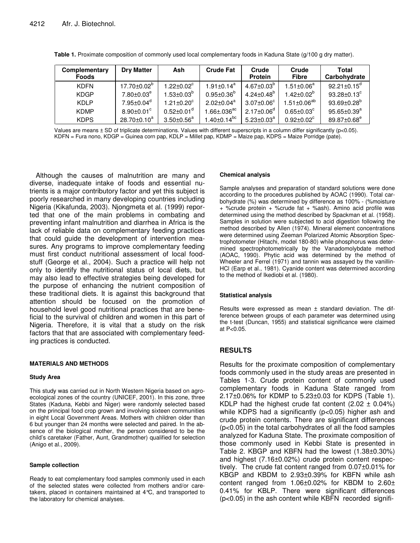| Complementary<br><b>Foods</b> | <b>Dry Matter</b>          | Ash                          | <b>Crude Fat</b>              | Crude<br><b>Protein</b> | Crude<br><b>Fibre</b>        | Total<br>Carbohydrate         |
|-------------------------------|----------------------------|------------------------------|-------------------------------|-------------------------|------------------------------|-------------------------------|
| <b>KDFN</b>                   | $17.70 \pm 0.02^{\circ}$   | $1.22 \pm 0.02^c$            | $1.91 \pm 0.14^a$             | $4.67 \pm 0.03^{6}$     | $1.51 \pm 0.06^a$            | $92.21 \pm 0.15^{\circ}$      |
| <b>KDGP</b>                   | $7.80 \pm 0.03^e$          | $1.53 \pm 0.03^{\circ}$      | $0.95 \pm 0.36^{\circ}$       | $4.24 \pm 0.48^{\circ}$ | $1.42 \pm 0.02^b$            | $93.28 \pm 0.13^{\circ}$      |
| KDI P                         | $7.95 \pm 0.04^\mathrm{d}$ | $1.21 \pm 0.20$ <sup>c</sup> | $2.02 \pm 0.04^a$             | $3.07 \pm 0.06^{\circ}$ | $1.51 \pm 0.06^{ab}$         | $93.69 \pm 0.28^{\circ}$      |
| <b>KDMP</b>                   | $8.90 \pm 0.01^{\circ}$    | $0.52 \pm 0.01$ <sup>a</sup> | $1.66 \pm 0.036^\text{ac}$    | $2.17 \pm 0.06^d$       | $0.65 \pm 0.03^{\circ}$      | $95.65 \pm 0.39^a$            |
| <b>KDPS</b>                   | $28.70 \pm 0.10^a$         | $3.50 \pm 0.56^a$            | $1.40 \pm 0.14$ <sup>bc</sup> | $5.23 \pm 0.03^a$       | $0.92 \pm 0.02$ <sup>c</sup> | $89.87 \pm 0.68$ <sup>e</sup> |

**Table 1.** Proximate composition of commonly used local complementary foods in Kaduna State (g/100 g dry matter).

Values are means ± SD of triplicate determinations. Values with different superscripts in a column differ significantly (p<0.05). KDFN = Fura nono, KDGP = Guinea corn pap, KDLP = Millet pap, KDMP = Maize pap, KDPS = Maize Porridge (pate).

Although the causes of malnutrition are many and diverse, inadequate intake of foods and essential nutrients is a major contributory factor and yet this subject is poorly researched in many developing countries including Nigeria (Kikafunda, 2003). Njongmeta et al. (1999) reported that one of the main problems in combating and preventing infant malnutrition and diarrhea in Africa is the lack of reliable data on complementary feeding practices that could guide the development of intervention measures. Any programs to improve complementary feeding must first conduct nutritional assessment of local foodstuff (George et al., 2004). Such a practice will help not only to identify the nutritional status of local diets, but may also lead to effective strategies being developed for the purpose of enhancing the nutrient composition of these traditional diets. It is against this background that attention should be focused on the promotion of household level good nutritional practices that are beneficial to the survival of children and women in this part of Nigeria. Therefore, it is vital that a study on the risk factors that that are associated with complementary feeding practices is conducted.

#### **MATERIALS AND METHODS**

#### **Study Area**

This study was carried out in North Western Nigeria based on agroecological zones of the country (UNICEF, 2001). In this zone, three States (Kaduna, Kebbi and Niger) were randomly selected based on the principal food crop grown and involving sixteen communities in eight Local Government Areas. Mothers with children older than 6 but younger than 24 months were selected and paired. In the absence of the biological mother, the person considered to be the child's caretaker (Father, Aunt, Grandmother) qualified for selection (Anigo et al., 2009).

#### **Sample collection**

Ready to eat complementary food samples commonly used in each of the selected states were collected from mothers and/or caretakers, placed in containers maintained at 4°C, and transported to the laboratory for chemical analyses.

#### **Chemical analysis**

Sample analyses and preparation of standard solutions were done according to the procedures published by AOAC (1990). Total carbohydrate (%) was determined by difference as 100% - (%moisture + %crude protein + %crude fat + %ash). Amino acid profile was determined using the method described by Spackman et al. (1958). Samples in solution were subjected to acid digestion following the method described by Allen (1974). Mineral element concentrations were determined using Zeeman Polarized Atomic Absorption Spectrophotometer (Hitachi, model 180-80) while phosphorus was determined spectrophotometrically by the Vanadomolybdate method (AOAC, 1990). Phytic acid was determined by the method of Wheeler and Ferrel (1971) and tannin was assayed by the vanillin-HCl (Earp et al., 1981). Cyanide content was determined according to the method of Ikediobi et al. (1980).

#### **Statistical analysis**

Results were expressed as mean ± standard deviation. The difference between groups of each parameter was determined using the t-test (Duncan, 1955) and statistical significance were claimed at P<0.05.

## **RESULTS**

Results for the proximate composition of complementary foods commonly used in the study areas are presented in Tables 1-3. Crude protein content of commonly used complementary foods in Kaduna State ranged from 2.17±0.06% for KDMP to 5.23±0.03 for KDPS (Table 1). KDLP had the highest crude fat content  $(2.02 \pm 0.04\%)$ while KDPS had a significantly (p<0.05) higher ash and crude protein contents. There are significant differences (p<0.05) in the total carbohydrates of all the food samples analyzed for Kaduna State. The proximate composition of those commonly used in Kebbi State is presented in Table 2. KBGP and KBFN had the lowest (1.38±0.30%) and highest (7.16±0.02%) crude protein content respectively. The crude fat content ranged from 0.07±0.01% for KBGP and KBDM to 2.93±0.39% for KBFN while ash content ranged from 1.06±0.02% for KBDM to 2.60± 0.41% for KBLP. There were significant differences (p<0.05) in the ash content while KBFN recorded signifi-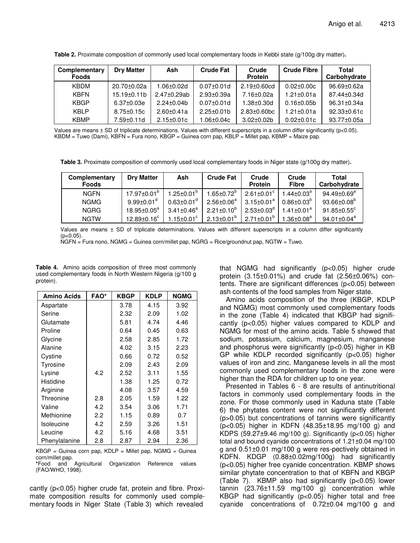| Complementary<br><b>Foods</b> | <b>Dry Matter</b> | Ash              | <b>Crude Fat</b>  | Crude<br><b>Protein</b> | <b>Crude Fibre</b> | <b>Total</b><br>Carbohydrate |
|-------------------------------|-------------------|------------------|-------------------|-------------------------|--------------------|------------------------------|
| KBDM                          | $20.70 \pm 0.02a$ | .06±0.02d        | $0.07 \pm 0.01$ d | $2.19 \pm 0.60$ cd      | $0.02 \pm 0.00c$   | 96.69±0.62a                  |
| <b>KBFN</b>                   | $15.19 \pm 0.11$  | 2.47±0.29ab      | $2.93 \pm 0.39a$  | 7.16±0.02a              | $1.21 \pm 0.01a$   | $87.44 \pm 0.34$ d           |
| <b>KBGP</b>                   | $6.37 \pm 0.03e$  | $2.24 \pm 0.04$  | $0.07 \pm 0.01$ d | $1.38 \pm 0.30$ d       | $0.16 \pm 0.05$ b  | $96.31 \pm 0.34a$            |
| <b>KBLP</b>                   | $8.75 \pm 0.15c$  | $2.60 + 0.41a$   | $2.25 \pm 0.01$   | $2.83 \pm 0.60$ bc      | $1.21 \pm 0.01a$   | $92.33 \pm 0.61c$            |
| <b>KBMP</b>                   | 7.59±0.11d        | $2.15 \pm 0.01c$ | 1.06±0.04c        | $3.02 \pm 0.02$ b       | $0.02 \pm 0.01c$   | $93.77 \pm 0.05a$            |

**Table 2.** Proximate composition of commonly used local complementary foods in Kebbi state (g/100g dry matter)**.**

Values are means ± SD of triplicate determinations. Values with different superscripts in a column differ significantly (p<0.05). KBDM = Tuwo (Dami), KBFN = Fura nono, KBGP = Guinea corn pap, KBLP = Millet pap, KBMP = Maize pap.

**Table 3.** Proximate composition of commonly used local complementary foods in Niger state (g/100g dry matter)**.**

| Complementary<br><b>Foods</b> | <b>Drv Matter</b>            | Ash                     | <b>Crude Fat</b>           | Crude<br><b>Protein</b> | Crude<br><b>Fibre</b>      | Total<br>Carbohydrate         |
|-------------------------------|------------------------------|-------------------------|----------------------------|-------------------------|----------------------------|-------------------------------|
| <b>NGFN</b>                   | $17.97 \pm 0.01^{\circ}$     | $1.25 \pm 0.01^{\circ}$ | $1.65 \pm 0.72^{\circ}$    | $2.61 \pm 0.01^{\circ}$ | $1.44\pm0.03^{\mathrm{a}}$ | $94.49 \pm 0.69$ <sup>a</sup> |
| <b>NGMG</b>                   | $9.99 \pm 0.01$ <sup>d</sup> | $0.63 \pm 0.01^d$       | $2.56 \pm 0.06^\mathrm{a}$ | $3.15 \pm 0.01^a$       | $0.86 \pm 0.03^{\circ}$    | $93.66 \pm 0.08^{\circ}$      |
| <b>NGRG</b>                   | $18.95 \pm 0.05^\text{a}$    | $3.41 \pm 0.46^a$       | $2.21 \pm 0.10^{6}$        | $2.53 \pm 0.03^{\circ}$ | $1.41 \pm 0.01^a$          | $91.85 \pm 0.55$ <sup>c</sup> |
| <b>NGTW</b>                   | $12.89 \pm 0.16^c$           | 1.15±0.01 $^{\circ}$    | $2.13 \pm 0.01^{\circ}$    | $2.71 \pm 0.01^b$       | $1.36 \pm 0.08^a$          | $94.01 \pm 0.04^a$            |

Values are means ± SD of triplicate determinations. Values with different superscripts in a column differ significantly  $(p<0.05)$ .

NGFN = Fura nono, NGMG = Guinea corn/millet pap, NGRG = Rice/groundnut pap, NGTW = Tuwo.

| <b>Table 4.</b> Amino acids composition of three most commonly |  |  |  |  |
|----------------------------------------------------------------|--|--|--|--|
| used complementary foods in North Western Nigeria (g/100 g     |  |  |  |  |
| protein).                                                      |  |  |  |  |

| <b>Amino Acids</b> | <b>FAO*</b> | <b>KBGP</b> | <b>KDLP</b> | <b>NGMG</b> |
|--------------------|-------------|-------------|-------------|-------------|
| Aspartate          |             | 3.78        | 4.15        | 3.92        |
| Serine             |             | 2.32        | 2.09        | 1.02        |
| Glutamate          |             | 5.81        | 4.74        | 4.46        |
| Proline            |             | 0.64        | 0.45        | 0.63        |
| Glycine            |             | 2.58        | 2.85        | 1.72        |
| Alanine            |             | 4.02        | 3.15        | 2.23        |
| Cystine            |             | 0.66        | 0.72        | 0.52        |
| Tyrosine           |             | 2.09        | 2.43        | 2.09        |
| Lysine             | 4.2         | 2.52        | 3.11        | 1.55        |
| Histidine          |             | 1.38        | 1.25        | 0.72        |
| Arginine           |             | 4.08        | 3.57        | 4.59        |
| Threonine          | 2.8         | 2.05        | 1.59        | 1.22        |
| Valine             | 4.2         | 3.54        | 3.06        | 1.71        |
| Methionine         | 2.2         | 1.15        | 0.89        | 0.7         |
| Isoleucine         | 4.2         | 2.59        | 3.26        | 1.51        |
| Leucine            | 4.2         | 5.16        | 4.68        | 3.51        |
| Phenylalanine      | 2.8         | 2.87        | 2.94        | 2.36        |

 $KBGP = Guinea$  corn pap,  $KDLP = Miller$  pap,  $NGMG = Guinea$ corn/millet pap.

**\***Food and Agricultural Organization Reference values (FAO/WHO, 1998).

cantly (p<0.05) higher crude fat, protein and fibre. Proximate composition results for commonly used complementary foods in Niger State (Table 3) which revealed

that NGMG had significantly (p<0.05) higher crude protein (3.15±0.01%) and crude fat (2.56±0.06%) contents. There are significant differences (p<0.05) between ash contents of the food samples from Niger state.

Amino acids composition of the three (KBGP, KDLP and NGMG) most commonly used complementary foods in the zone (Table 4) indicated that KBGP had significantly (p<0.05) higher values compared to KDLP and NGMG for most of the amino acids. Table 5 showed that sodium, potassium, calcium, magnesium, manganese and phosphorus were significantly (p<0.05) higher in KB GP while KDLP recorded significantly (p<0.05) higher values of iron and zinc. Manganese levels in all the most commonly used complementary foods in the zone were higher than the RDA for children up to one year.

Presented in Tables 6 - 8 are results of antinutritional factors in commonly used complementary foods in the zone. For those commonly used in Kaduna state (Table 6) the phytates content were not significantly different (p>0.05) but concentrations of tannins were significantly (p<0.05) higher in KDFN (48.35±18.95 mg/100 g) and KDPS (59.27±9.46 mg/100 g). Significantly (p<0.05) higher total and bound cyanide concentrations of 1.21±0.04 mg/100 g and 0.51±0.01 mg/100 g were res-pectively obtained in KDFN. KDGP (0.88±0.02mg/100g) had significantly (p<0.05) higher free cyanide concentration. KBMP shows similar phytate concentration to that of KBFN and KBGP (Table 7). KBMP also had significantly (p<0.05) lower tannin (23.76±11.59 mg/100 g) concentration while KBGP had significantly (p<0.05) higher total and free cyanide concentrations of 0.72±0.04 mg/100 g and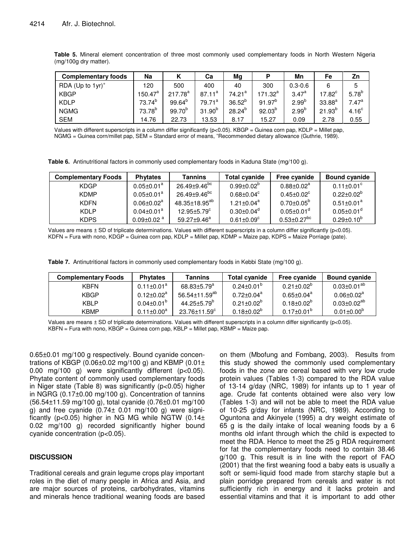| <b>Complementary foods</b>      | Na                  |              | Cа                 | Mg          | P            | Mn          | Fe          | Zn                |
|---------------------------------|---------------------|--------------|--------------------|-------------|--------------|-------------|-------------|-------------------|
| RDA (Up to $1yr$ ) <sup>+</sup> | 120                 | 500          | 400                | 40          | 300          | $0.3 - 0.6$ |             | 5                 |
| <b>KBGP</b>                     | $150.47^{\text{a}}$ | $217.78^{a}$ | $87.11^a$          | $74.21^a$   | $171.32^{a}$ | $3.47^{a}$  | $17.82^c$   | $5.78^{b}$        |
| <b>KDLP</b>                     | $73.74^{b}$         | $99.64^{b}$  | 79.71 <sup>a</sup> | $36.52^{b}$ | $91.97^{b}$  | $2.99^{b}$  | $33.88^{a}$ | $7.47^{\rm a}$    |
| <b>NGMG</b>                     | $73.78^{b}$         | $99.70^{b}$  | $31.90^{b}$        | $28.24^{b}$ | $92.03^{b}$  | $2.99^{b}$  | $21.93^{b}$ | 4.16 <sup>c</sup> |
| <b>SEM</b>                      | 14.76               | 22.73        | 13.53              | 8.17        | 15.27        | 0.09        | 2.78        | 0.55              |

**Table 5.** Mineral element concentration of three most commonly used complementary foods in North Western Nigeria (mg/100g dry matter).

Values with different superscripts in a column differ significantly ( $p<0.05$ ). KBGP = Guinea corn pap, KDLP = Millet pap, NGMG = Guinea corn/millet pap, SEM = Standard error of means, <sup>+</sup>Recommended dietary allowance (Guthrie, 1989).

**Table 6.** Antinutritional factors in commonly used complementary foods in Kaduna State (mg/100 g).

| <b>Complementary Foods</b> | <b>Phytates</b>              | <b>Tannins</b>           | <b>Total cyanide</b>         | <b>Free cvanide</b>          | <b>Bound cyanide</b>         |
|----------------------------|------------------------------|--------------------------|------------------------------|------------------------------|------------------------------|
| <b>KDGP</b>                | $0.05 \pm 0.01$ <sup>a</sup> | 26.49±9.46 <sup>bc</sup> | $0.99 \pm 0.02^{\circ}$      | $0.88 \pm 0.02^a$            | $0.11 \pm 0.01$ <sup>c</sup> |
| <b>KDMP</b>                | $0.05 \pm 0.01^a$            | 26.49±9.46 <sup>bc</sup> | $0.68 + 0.04^c$              | $0.45 \pm 0.02$ <sup>c</sup> | $0.22 \pm 0.02^b$            |
| <b>KDFN</b>                | $0.06 \pm 0.02$ <sup>a</sup> | $48.35 \pm 18.95^{ab}$   | $1.21 \pm 0.04^a$            | $0.70 \pm 0.05^{\circ}$      | $0.51 \pm 0.01^a$            |
| <b>KDLP</b>                | $0.04 \pm 0.01^a$            | $12.95 \pm 5.79^{\circ}$ | $0.30 \pm 0.04^{\circ}$      | $0.05 \pm 0.01$ <sup>d</sup> | $0.05 \pm 0.01$ <sup>d</sup> |
| <b>KDPS</b>                | $0.09 \pm 0.02$ <sup>a</sup> | $59.27 + 9.46^a$         | $0.61 \pm 0.09$ <sup>c</sup> | $0.53 \pm 0.27 ^{bc}$        | $0.29 \pm 0.10^{b}$          |

Values are means ± SD of triplicate determinations. Values with different superscripts in a column differ significantly (p<0.05). KDFN = Fura with nono, KDGP = Guinea corn pap, KDLP = Millet pap, KDMP = Maize pap, KDPS = Maize Porriage (pate).

**Table 7.** Antinutritional factors in commonly used complementary foods in Kebbi State (mg/100 g).

| <b>Complementary Foods</b> | <b>Phytates</b>         | Tannins                       | <b>Total cvanide</b>    | Free cyanide            | <b>Bound cvanide</b>         |
|----------------------------|-------------------------|-------------------------------|-------------------------|-------------------------|------------------------------|
| <b>KBFN</b>                | $0.11 \pm 0.01^a$       | $68.83 \pm 5.79$ <sup>a</sup> | $0.24 \pm 0.01^{\circ}$ | $0.21 \pm 0.02^{\circ}$ | $0.03 \pm 0.01^{ab}$         |
| <b>KBGP</b>                | $0.12 \pm 0.02^a$       | 56.54±11.59 <sup>ab</sup>     | $0.72 \pm 0.04^a$       | $0.65 \pm 0.04^a$       | $0.06 \pm 0.02$ <sup>a</sup> |
| KBI P                      | $0.04 \pm 0.01^{\circ}$ | $44.25 + 5.79^{\circ}$        | $0.21 \pm 0.02^{\circ}$ | $0.18 \pm 0.02^{\circ}$ | $0.03 \pm 0.02^{ab}$         |
| <b>KBMP</b>                | $0.11 \pm 0.00^a$       | $23.76 \pm 11.59^{\circ}$     | $0.18 \pm 0.02^{\circ}$ | $0.17 \pm 0.01^{\circ}$ | $0.01 \pm 0.00^{\circ}$      |

Values are means ± SD of triplicate determinations. Values with different superscripts in a column differ significantly (p<0.05).  $KBFN = Fur$ a with nono,  $KBGP = Guinea$  corn pap,  $KBLP = Millet$  pap,  $KBMP = Maize$  pap.

0.65±0.01 mg/100 g respectively. Bound cyanide concentrations of KBGP (0.06 $\pm$ 0.02 mg/100 g) and KBMP (0.01 $\pm$ 0.00 mg/100 g) were significantly different (p<0.05). Phytate content of commonly used complementary foods in Niger state (Table 8) was significantly (p<0.05) higher in NGRG (0.17±0.00 mg/100 g). Concentration of tannins (56.54±11.59 mg/100 g), total cyanide (0.76±0.01 mg/100 g) and free cyanide  $(0.74 \pm 0.01 \text{ mg}/100 \text{ g})$  were significantly (p<0.05) higher in NG MG while NGTW (0.14± 0.02 mg/100 g) recorded significantly higher bound cyanide concentration (p<0.05).

#### **DISCUSSION**

Traditional cereals and grain legume crops play important roles in the diet of many people in Africa and Asia, and are major sources of proteins, carbohydrates, vitamins and minerals hence traditional weaning foods are based

on them (Mbofung and Fombang, 2003). Results from this study showed the commonly used complementary foods in the zone are cereal based with very low crude protein values (Tables 1-3) compared to the RDA value of 13-14 g/day (NRC, 1989) for infants up to 1 year of age. Crude fat contents obtained were also very low (Tables 1-3) and will not be able to meet the RDA value of 10-25 g/day for infants (NRC, 1989). According to Oguntona and Akinyele (1995) a dry weight estimate of 65 g is the daily intake of local weaning foods by a 6 months old infant through which the child is expected to meet the RDA. Hence to meet the 25 g RDA requirement for fat the complementary foods need to contain 38.46 g/100 g. This result is in line with the report of FAO (2001) that the first weaning food a baby eats is usually a soft or semi-liquid food made from starchy staple but a plain porridge prepared from cereals and water is not sufficiently rich in energy and it lacks protein and essential vitamins and that it is important to add other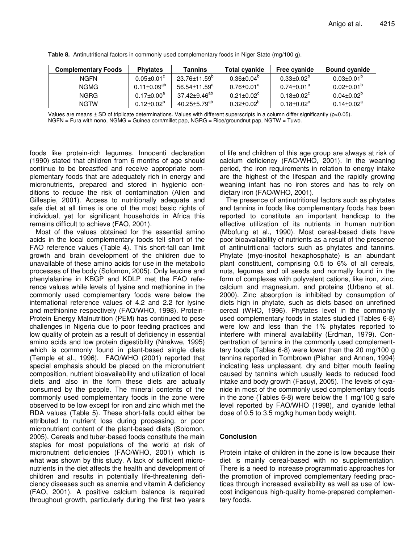| <b>Complementary Foods</b> | <b>Phytates</b>         | Tannins                      | <b>Total cyanide</b>         | <b>Free cyanide</b>          | <b>Bound cyanide</b>    |
|----------------------------|-------------------------|------------------------------|------------------------------|------------------------------|-------------------------|
| <b>NGFN</b>                | $0.05 \pm 0.01^{\circ}$ | 23.76±11.59 <sup>b</sup>     | $0.36 \pm 0.04^{\circ}$      | $0.33 \pm 0.02^{\circ}$      | $0.03 \pm 0.01^{\circ}$ |
| <b>NGMG</b>                | $0.11 \pm 0.09^{ab}$    | $56.54\pm11.59^{\mathrm{a}}$ | $0.76 \pm 0.01$ <sup>a</sup> | $0.74 \pm 0.01^a$            | $0.02 \pm 0.01^{\circ}$ |
| <b>NGRG</b>                | $0.17 \pm 0.00^a$       | 37.42±9.46 <sup>ab</sup>     | $0.21 \pm 0.02$ <sup>c</sup> | $0.18 \pm 0.02$ <sup>c</sup> | $0.04 \pm 0.02^{\circ}$ |
| <b>NGTW</b>                | $0.12 \pm 0.02^{\circ}$ | $40.25 \pm 5.79^\text{ab}$   | $0.32 \pm 0.02^{\circ}$      | $0.18 \pm 0.02$ <sup>c</sup> | $0.14 \pm 0.02^a$       |

**Table 8.** Antinutritional factors in commonly used complementary foods in Niger State (mg/100 g).

Values are means  $\pm$  SD of triplicate determinations. Values with different superscripts in a column differ significantly ( $p$ <0.05). NGFN = Fura with nono, NGMG = Guinea corn/millet pap, NGRG = Rice/groundnut pap, NGTW = Tuwo.

foods like protein-rich legumes. Innocenti declaration (1990) stated that children from 6 months of age should continue to be breastfed and receive appropriate complementary foods that are adequately rich in energy and micronutrients, prepared and stored in hygienic conditions to reduce the risk of contamination (Allen and Gillespie, 2001). Access to nutritionally adequate and safe diet at all times is one of the most basic rights of individual, yet for significant households in Africa this remains difficult to achieve (FAO, 2001).

Most of the values obtained for the essential amino acids in the local complementary foods fell short of the FAO reference values (Table 4). This short-fall can limit growth and brain development of the children due to unavailable of these amino acids for use in the metabolic processes of the body (Solomon, 2005). Only leucine and phenylalanine in KBGP and KDLP met the FAO reference values while levels of lysine and methionine in the commonly used complementary foods were below the international reference values of 4.2 and 2.2 for lysine and methionine respectively (FAO/WHO, 1998). Protein-Protein Energy Malnutrition (PEM) has continued to pose challenges in Nigeria due to poor feeding practices and low quality of protein as a result of deficiency in essential amino acids and low protein digestibility (Nnakwe, 1995) which is commonly found in plant-based single diets (Temple et al., 1996). FAO/WHO (2001) reported that special emphasis should be placed on the micronutrient composition, nutrient bioavailability and utilization of local diets and also in the form these diets are actually consumed by the people. The mineral contents of the commonly used complementary foods in the zone were observed to be low except for iron and zinc which met the RDA values (Table 5). These short-falls could either be attributed to nutrient loss during processing, or poor micronutrient content of the plant-based diets (Solomon, 2005). Cereals and tuber-based foods constitute the main staples for most populations of the world at risk of micronutrient deficiencies (FAO/WHO, 2001) which is what was shown by this study. A lack of sufficient micronutrients in the diet affects the health and development of children and results in potentially life-threatening deficiency diseases such as anemia and vitamin A deficiency (FAO, 2001). A positive calcium balance is required throughout growth, particularly during the first two years of life and children of this age group are always at risk of calcium deficiency (FAO/WHO, 2001). In the weaning period, the iron requirements in relation to energy intake are the highest of the lifespan and the rapidly growing weaning infant has no iron stores and has to rely on dietary iron (FAO/WHO, 2001).

The presence of antinutritional factors such as phytates and tannins in foods like complementary foods has been reported to constitute an important handicap to the effective utilization of its nutrients in human nutrition (Mbofung et al., 1990). Most cereal-based diets have poor bioavailability of nutrients as a result of the presence of antinutritional factors such as phytates and tannins. Phytate (myo-inositol hexaphosphate) is an abundant plant constituent, comprising 0.5 to 6% of all cereals, nuts, legumes and oil seeds and normally found in the form of complexes with polyvalent cations, like iron, zinc, calcium and magnesium, and proteins (Urbano et al., 2000). Zinc absorption is inhibited by consumption of diets high in phytate, such as diets based on unrefined cereal (WHO, 1996). Phytates level in the commonly used complementary foods in states studied (Tables 6-8) were low and less than the 1% phytates reported to interfere with mineral availability (Erdman, 1979). Concentration of tannins in the commonly used complementtary foods (Tables 6-8) were lower than the 20 mg/100 g tannins reported in Tombrown (Plahar and Annan, 1994) indicating less unpleasant, dry and bitter mouth feeling caused by tannins which usually leads to reduced food intake and body growth (Fasuyi, 2005). The levels of cyanide in most of the commonly used complementary foods in the zone (Tables 6-8) were below the 1 mg/100 g safe level reported by FAO/WHO (1998), and cyanide lethal dose of 0.5 to 3.5 mg/kg human body weight.

## **Conclusion**

Protein intake of children in the zone is low because their diet is mainly cereal-based with no supplementation. There is a need to increase programmatic approaches for the promotion of improved complementary feeding practices through increased availability as well as use of lowcost indigenous high-quality home-prepared complementary foods.